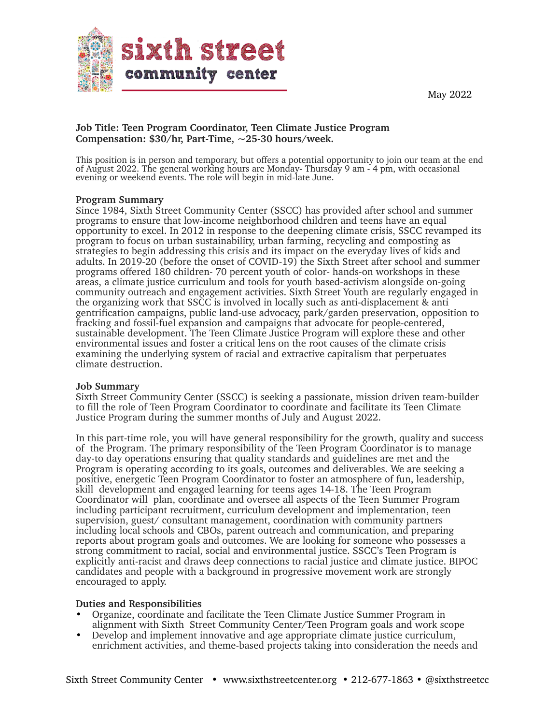



### **Job Title: Teen Program Coordinator, Teen Climate Justice Program Compensation: \$30/hr, Part-Time, ~25-30 hours/week.**

This position is in person and temporary, but offers a potential opportunity to join our team at the end of August 2022. The general working hours are Monday- Thursday 9 am - 4 pm, with occasional evening or weekend events. The role will begin in mid-late June.

#### **Program Summary**

Since 1984, Sixth Street Community Center (SSCC) has provided after school and summer programs to ensure that low-income neighborhood children and teens have an equal opportunity to excel. In 2012 in response to the deepening climate crisis, SSCC revamped its program to focus on urban sustainability, urban farming, recycling and composting as strategies to begin addressing this crisis and its impact on the everyday lives of kids and adults. In 2019-20 (before the onset of COVID-19) the Sixth Street after school and summer programs offered 180 children- 70 percent youth of color- hands-on workshops in these areas, a climate justice curriculum and tools for youth based-activism alongside on-going community outreach and engagement activities. Sixth Street Youth are regularly engaged in the organizing work that SSCC is involved in locally such as anti-displacement & anti gentrification campaigns, public land-use advocacy, park/garden preservation, opposition to fracking and fossil-fuel expansion and campaigns that advocate for people-centered, sustainable development. The Teen Climate Justice Program will explore these and other environmental issues and foster a critical lens on the root causes of the climate crisis examining the underlying system of racial and extractive capitalism that perpetuates climate destruction.

#### **Job Summary**

Sixth Street Community Center (SSCC) is seeking a passionate, mission driven team-builder to fill the role of Teen Program Coordinator to coordinate and facilitate its Teen Climate Justice Program during the summer months of July and August 2022.

In this part-time role, you will have general responsibility for the growth, quality and success of the Program. The primary responsibility of the Teen Program Coordinator is to manage day-to day operations ensuring that quality standards and guidelines are met and the Program is operating according to its goals, outcomes and deliverables. We are seeking a positive, energetic Teen Program Coordinator to foster an atmosphere of fun, leadership, skill development and engaged learning for teens ages 14-18. The Teen Program Coordinator will plan, coordinate and oversee all aspects of the Teen Summer Program including participant recruitment, curriculum development and implementation, teen supervision, guest/ consultant management, coordination with community partners including local schools and CBOs, parent outreach and communication, and preparing reports about program goals and outcomes. We are looking for someone who possesses a strong commitment to racial, social and environmental justice. SSCC's Teen Program is explicitly anti-racist and draws deep connections to racial justice and climate justice. BIPOC candidates and people with a background in progressive movement work are strongly encouraged to apply.

#### **Duties and Responsibilities**

- Organize, coordinate and facilitate the Teen Climate Justice Summer Program in alignment with Sixth Street Community Center/Teen Program goals and work scope
- Develop and implement innovative and age appropriate climate justice curriculum, enrichment activities, and theme-based projects taking into consideration the needs and